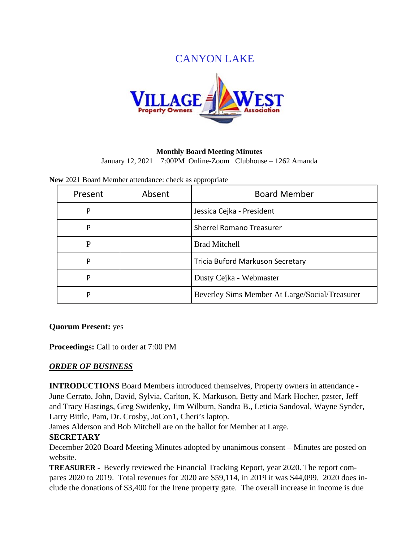# CANYON LAKE



## **Monthly Board Meeting Minutes**

January 12, 2021 7:00PM Online-Zoom Clubhouse – 1262 Amanda

| New 2021 Board Member attendance: check as appropriate |  |
|--------------------------------------------------------|--|
|--------------------------------------------------------|--|

| Present | Absent | <b>Board Member</b>                            |
|---------|--------|------------------------------------------------|
| P       |        | Jessica Cejka - President                      |
| P       |        | <b>Sherrel Romano Treasurer</b>                |
|         |        | <b>Brad Mitchell</b>                           |
| P       |        | Tricia Buford Markuson Secretary               |
| D       |        | Dusty Cejka - Webmaster                        |
|         |        | Beverley Sims Member At Large/Social/Treasurer |

# **Quorum Present:** yes

**Proceedings:** Call to order at 7:00 PM

# *ORDER OF BUSINESS*

**INTRODUCTIONS** Board Members introduced themselves, Property owners in attendance - June Cerrato, John, David, Sylvia, Carlton, K. Markuson, Betty and Mark Hocher, pzster, Jeff and Tracy Hastings, Greg Swidenky, Jim Wilburn, Sandra B., Leticia Sandoval, Wayne Synder, Larry Bittle, Pam, Dr. Crosby, JoCon1, Cheri's laptop.

James Alderson and Bob Mitchell are on the ballot for Member at Large.

# **SECRETARY**

December 2020 Board Meeting Minutes adopted by unanimous consent – Minutes are posted on website.

**TREASURER** - Beverly reviewed the Financial Tracking Report, year 2020. The report compares 2020 to 2019. Total revenues for 2020 are \$59,114, in 2019 it was \$44,099. 2020 does include the donations of \$3,400 for the Irene property gate. The overall increase in income is due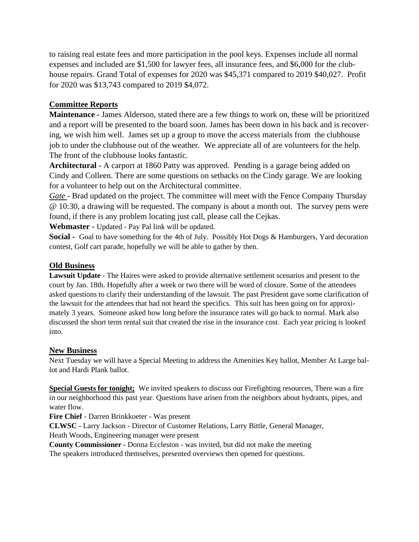to raising real estate fees and more participation in the pool keys. Expenses include all normal expenses and included are \$1,500 for lawyer fees, all insurance fees, and \$6,000 for the clubhouse repairs. Grand Total of expenses for 2020 was \$45,371 compared to 2019 \$40,027. Profit for 2020 was \$13,743 compared to 2019 \$4,072.

# **Committee Reports**

**Maintenance -** James Alderson, stated there are a few things to work on, these will be prioritized and a report will be presented to the board soon. James has been down in his back and is recovering, we wish him well. James set up a group to move the access materials from the clubhouse job to under the clubhouse out of the weather. We appreciate all of are volunteers for the help. The front of the clubhouse looks fantastic.

**Architectural -** A carport at 1860 Patty was approved. Pending is a garage being added on Cindy and Colleen. There are some questions on setbacks on the Cindy garage. We are looking for a volunteer to help out on the Architectural committee.

*Gate* - Brad updated on the project. The committee will meet with the Fence Company Thursday @ 10:30, a drawing will be requested. The company is about a month out. The survey pens were found, if there is any problem locating just call, please call the Cejkas.

**Webmaster -** Updated - Pay Pal link will be updated.

**Social -** Goal to have something for the 4th of July. Possibly Hot Dogs & Hamburgers, Yard decoration contest, Golf cart parade, hopefully we will be able to gather by then.

# **Old Business**

**Lawsuit Update** - The Haires were asked to provide alternative settlement scenarios and present to the court by Jan. 18th. Hopefully after a week or two there will be word of closure. Some of the attendees asked questions to clarify their understanding of the lawsuit. The past President gave some clarification of the lawsuit for the attendees that had not heard the specifics. This suit has been going on for approximately 3 years. Someone asked how long before the insurance rates will go back to normal. Mark also discussed the short term rental suit that created the rise in the insurance cost. Each year pricing is looked into.

# **New Business**

Next Tuesday we will have a Special Meeting to address the Amenities Key ballot, Member At Large ballot and Hardi Plank ballot.

**Special Guests for tonight;** We invited speakers to discuss our Firefighting resources, There was a fire in our neighborhood this past year. Questions have arisen from the neighbors about hydrants, pipes, and water flow.

**Fire Chief** - Darren Brinkkoeter - Was present

**CLWSC** - Larry Jackson - Director of Customer Relations, Larry Bittle, General Manager, Heath Woods, Engineering manager were present

**County Commissioner** - Donna Eccleston - was invited, but did not make the meeting The speakers introduced themselves, presented overviews then opened for questions.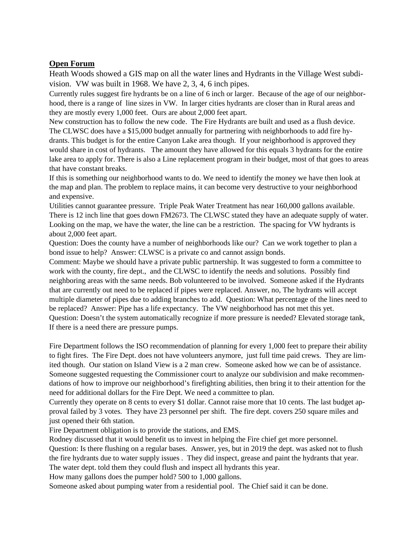# **Open Forum**

Heath Woods showed a GIS map on all the water lines and Hydrants in the Village West subdivision. VW was built in 1968. We have 2, 3, 4, 6 inch pipes.

Currently rules suggest fire hydrants be on a line of 6 inch or larger. Because of the age of our neighborhood, there is a range of line sizes in VW. In larger cities hydrants are closer than in Rural areas and they are mostly every 1,000 feet. Ours are about 2,000 feet apart.

New construction has to follow the new code. The Fire Hydrants are built and used as a flush device. The CLWSC does have a \$15,000 budget annually for partnering with neighborhoods to add fire hydrants. This budget is for the entire Canyon Lake area though. If your neighborhood is approved they would share in cost of hydrants. The amount they have allowed for this equals 3 hydrants for the entire lake area to apply for. There is also a Line replacement program in their budget, most of that goes to areas that have constant breaks.

If this is something our neighborhood wants to do. We need to identify the money we have then look at the map and plan. The problem to replace mains, it can become very destructive to your neighborhood and expensive.

Utilities cannot guarantee pressure. Triple Peak Water Treatment has near 160,000 gallons available. There is 12 inch line that goes down FM2673. The CLWSC stated they have an adequate supply of water. Looking on the map, we have the water, the line can be a restriction. The spacing for VW hydrants is about 2,000 feet apart.

Question: Does the county have a number of neighborhoods like our? Can we work together to plan a bond issue to help? Answer: CLWSC is a private co and cannot assign bonds.

Comment: Maybe we should have a private public partnership. It was suggested to form a committee to work with the county, fire dept., and the CLWSC to identify the needs and solutions. Possibly find neighboring areas with the same needs. Bob volunteered to be involved. Someone asked if the Hydrants that are currently out need to be replaced if pipes were replaced. Answer, no, The hydrants will accept multiple diameter of pipes due to adding branches to add. Question: What percentage of the lines need to be replaced? Answer: Pipe has a life expectancy. The VW neighborhood has not met this yet. Question: Doesn't the system automatically recognize if more pressure is needed? Elevated storage tank, If there is a need there are pressure pumps.

Fire Department follows the ISO recommendation of planning for every 1,000 feet to prepare their ability to fight fires. The Fire Dept. does not have volunteers anymore, just full time paid crews. They are limited though. Our station on Island View is a 2 man crew. Someone asked how we can be of assistance. Someone suggested requesting the Commissioner court to analyze our subdivision and make recommendations of how to improve our neighborhood's firefighting abilities, then bring it to their attention for the need for additional dollars for the Fire Dept. We need a committee to plan.

Currently they operate on 8 cents to every \$1 dollar. Cannot raise more that 10 cents. The last budget approval failed by 3 votes. They have 23 personnel per shift. The fire dept. covers 250 square miles and just opened their 6th station.

Fire Department obligation is to provide the stations, and EMS.

Rodney discussed that it would benefit us to invest in helping the Fire chief get more personnel. Question: Is there flushing on a regular bases. Answer, yes, but in 2019 the dept. was asked not to flush the fire hydrants due to water supply issues . They did inspect, grease and paint the hydrants that year. The water dept. told them they could flush and inspect all hydrants this year.

How many gallons does the pumper hold? 500 to 1,000 gallons.

Someone asked about pumping water from a residential pool. The Chief said it can be done.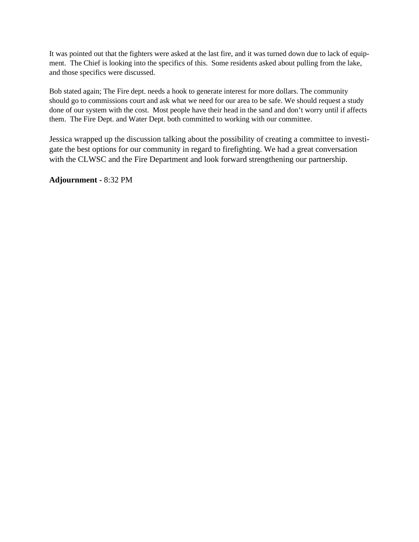It was pointed out that the fighters were asked at the last fire, and it was turned down due to lack of equipment. The Chief is looking into the specifics of this. Some residents asked about pulling from the lake, and those specifics were discussed.

Bob stated again; The Fire dept. needs a hook to generate interest for more dollars. The community should go to commissions court and ask what we need for our area to be safe. We should request a study done of our system with the cost. Most people have their head in the sand and don't worry until if affects them. The Fire Dept. and Water Dept. both committed to working with our committee.

Jessica wrapped up the discussion talking about the possibility of creating a committee to investigate the best options for our community in regard to firefighting. We had a great conversation with the CLWSC and the Fire Department and look forward strengthening our partnership.

**Adjournment -** 8:32 PM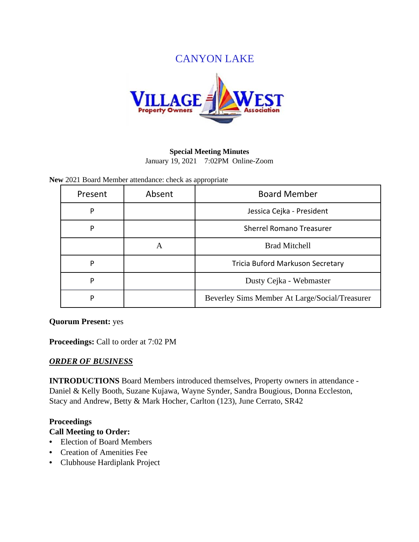# CANYON LAKE



# **Special Meeting Minutes**

January 19, 2021 7:02PM Online-Zoom

**New** 2021 Board Member attendance: check as appropriate

| Present | Absent | <b>Board Member</b>                            |  |
|---------|--------|------------------------------------------------|--|
| P       |        | Jessica Cejka - President                      |  |
| P       |        | <b>Sherrel Romano Treasurer</b>                |  |
|         | A      | <b>Brad Mitchell</b>                           |  |
| P       |        | Tricia Buford Markuson Secretary               |  |
| P       |        | Dusty Cejka - Webmaster                        |  |
| P       |        | Beverley Sims Member At Large/Social/Treasurer |  |

# **Quorum Present:** yes

**Proceedings:** Call to order at 7:02 PM

# *ORDER OF BUSINESS*

**INTRODUCTIONS** Board Members introduced themselves, Property owners in attendance - Daniel & Kelly Booth, Suzane Kujawa, Wayne Synder, Sandra Bougious, Donna Eccleston, Stacy and Andrew, Betty & Mark Hocher, Carlton (123), June Cerrato, SR42

# **Proceedings**

# **Call Meeting to Order:**

- Election of Board Members
- Creation of Amenities Fee
- Clubhouse Hardiplank Project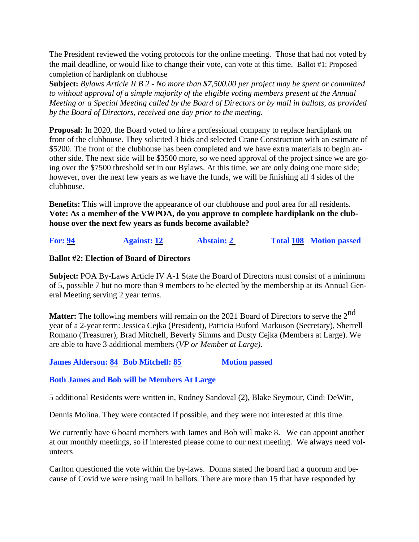The President reviewed the voting protocols for the online meeting. Those that had not voted by the mail deadline, or would like to change their vote, can vote at this time. Ballot #1: Proposed completion of hardiplank on clubhouse

**Subject:** *Bylaws Article II B 2 - No more than \$7,500.00 per project may be spent or committed to without approval of a simple majority of the eligible voting members present at the Annual Meeting or a Special Meeting called by the Board of Directors or by mail in ballots, as provided by the Board of Directors, received one day prior to the meeting.*

**Proposal:** In 2020, the Board voted to hire a professional company to replace hardiplank on front of the clubhouse. They solicited 3 bids and selected Crane Construction with an estimate of \$5200. The front of the clubhouse has been completed and we have extra materials to begin another side. The next side will be \$3500 more, so we need approval of the project since we are going over the \$7500 threshold set in our Bylaws. At this time, we are only doing one more side; however, over the next few years as we have the funds, we will be finishing all 4 sides of the clubhouse.

**Benefits:** This will improve the appearance of our clubhouse and pool area for all residents. **Vote: As a member of the VWPOA, do you approve to complete hardiplank on the clubhouse over the next few years as funds become available?**

**For: 94 Against: 12 Abstain: 2 Total 108 Motion passed**

## **Ballot #2: Election of Board of Directors**

**Subject:** POA By-Laws Article IV A-1 State the Board of Directors must consist of a minimum of 5, possible 7 but no more than 9 members to be elected by the membership at its Annual General Meeting serving 2 year terms.

**Matter:** The following members will remain on the 2021 Board of Directors to serve the 2<sup>nd</sup> year of a 2-year term: Jessica Cejka (President), Patricia Buford Markuson (Secretary), Sherrell Romano (Treasurer), Brad Mitchell, Beverly Simms and Dusty Cejka (Members at Large). We are able to have 3 additional members (*VP or Member at Large).* 

**James Alderson: 84 Bob Mitchell: 85 Motion passed**

# **Both James and Bob will be Members At Large**

5 additional Residents were written in, Rodney Sandoval (2), Blake Seymour, Cindi DeWitt,

Dennis Molina. They were contacted if possible, and they were not interested at this time.

We currently have 6 board members with James and Bob will make 8. We can appoint another at our monthly meetings, so if interested please come to our next meeting. We always need volunteers

Carlton questioned the vote within the by-laws. Donna stated the board had a quorum and because of Covid we were using mail in ballots. There are more than 15 that have responded by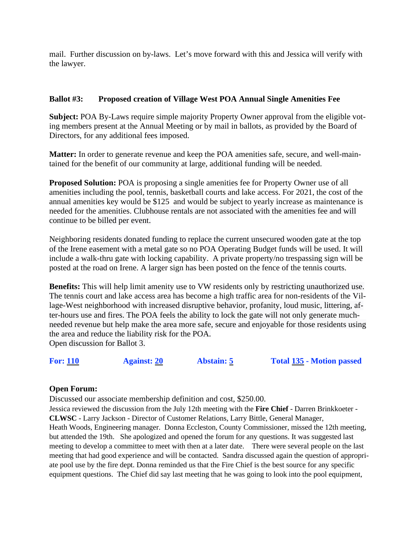mail. Further discussion on by-laws. Let's move forward with this and Jessica will verify with the lawyer.

# **Ballot #3: Proposed creation of Village West POA Annual Single Amenities Fee**

**Subject:** POA By-Laws require simple majority Property Owner approval from the eligible voting members present at the Annual Meeting or by mail in ballots, as provided by the Board of Directors, for any additional fees imposed.

**Matter:** In order to generate revenue and keep the POA amenities safe, secure, and well-maintained for the benefit of our community at large, additional funding will be needed.

**Proposed Solution:** POA is proposing a single amenities fee for Property Owner use of all amenities including the pool, tennis, basketball courts and lake access. For 2021, the cost of the annual amenities key would be \$125 and would be subject to yearly increase as maintenance is needed for the amenities. Clubhouse rentals are not associated with the amenities fee and will continue to be billed per event.

Neighboring residents donated funding to replace the current unsecured wooden gate at the top of the Irene easement with a metal gate so no POA Operating Budget funds will be used. It will include a walk-thru gate with locking capability. A private property/no trespassing sign will be posted at the road on Irene. A larger sign has been posted on the fence of the tennis courts.

**Benefits:** This will help limit amenity use to VW residents only by restricting unauthorized use. The tennis court and lake access area has become a high traffic area for non-residents of the Village-West neighborhood with increased disruptive behavior, profanity, loud music, littering, after-hours use and fires. The POA feels the ability to lock the gate will not only generate muchneeded revenue but help make the area more safe, secure and enjoyable for those residents using the area and reduce the liability risk for the POA. Open discussion for Ballot 3.

**For: 110 Against: 20 Abstain: 5 Total 135 - Motion passed**

# **Open Forum:**

Discussed our associate membership definition and cost, \$250.00.

Jessica reviewed the discussion from the July 12th meeting with the **Fire Chief** - Darren Brinkkoeter - **CLWSC** - Larry Jackson - Director of Customer Relations, Larry Bittle, General Manager, Heath Woods, Engineering manager. Donna Eccleston, County Commissioner, missed the 12th meeting, but attended the 19th. She apologized and opened the forum for any questions. It was suggested last meeting to develop a committee to meet with then at a later date. There were several people on the last meeting that had good experience and will be contacted. Sandra discussed again the question of appropriate pool use by the fire dept. Donna reminded us that the Fire Chief is the best source for any specific equipment questions. The Chief did say last meeting that he was going to look into the pool equipment,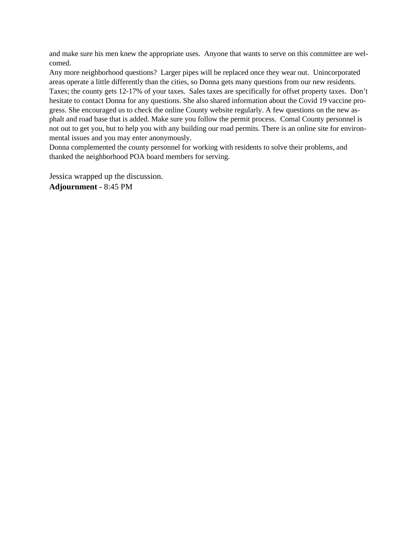and make sure his men knew the appropriate uses. Anyone that wants to serve on this committee are welcomed.

Any more neighborhood questions? Larger pipes will be replaced once they wear out. Unincorporated areas operate a little differently than the cities, so Donna gets many questions from our new residents. Taxes; the county gets 12-17% of your taxes. Sales taxes are specifically for offset property taxes. Don't hesitate to contact Donna for any questions. She also shared information about the Covid 19 vaccine progress. She encouraged us to check the online County website regularly. A few questions on the new asphalt and road base that is added. Make sure you follow the permit process. Comal County personnel is not out to get you, but to help you with any building our road permits. There is an online site for environmental issues and you may enter anonymously.

Donna complemented the county personnel for working with residents to solve their problems, and thanked the neighborhood POA board members for serving.

Jessica wrapped up the discussion. **Adjournment -** 8:45 PM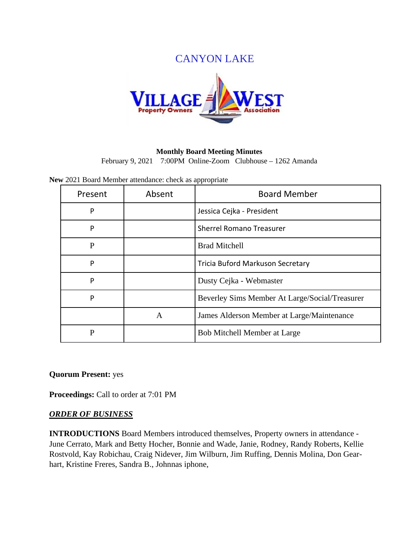# CANYON LAKE



## **Monthly Board Meeting Minutes**

February 9, 2021 7:00PM Online-Zoom Clubhouse – 1262 Amanda

**New** 2021 Board Member attendance: check as appropriate

| Present      | Absent | <b>Board Member</b>                            |  |
|--------------|--------|------------------------------------------------|--|
| P            |        | Jessica Cejka - President                      |  |
| P            |        | <b>Sherrel Romano Treasurer</b>                |  |
| $\mathbf{P}$ |        | <b>Brad Mitchell</b>                           |  |
| P            |        | Tricia Buford Markuson Secretary               |  |
| P            |        | Dusty Cejka - Webmaster                        |  |
| P            |        | Beverley Sims Member At Large/Social/Treasurer |  |
|              | A      | James Alderson Member at Large/Maintenance     |  |
| P            |        | <b>Bob Mitchell Member at Large</b>            |  |

**Quorum Present:** yes

**Proceedings:** Call to order at 7:01 PM

# *ORDER OF BUSINESS*

**INTRODUCTIONS** Board Members introduced themselves, Property owners in attendance - June Cerrato, Mark and Betty Hocher, Bonnie and Wade, Janie, Rodney, Randy Roberts, Kellie Rostvold, Kay Robichau, Craig Nidever, Jim Wilburn, Jim Ruffing, Dennis Molina, Don Gearhart, Kristine Freres, Sandra B., Johnnas iphone,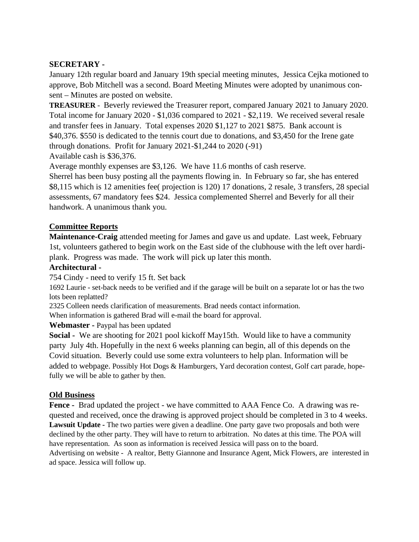# **SECRETARY -**

January 12th regular board and January 19th special meeting minutes, Jessica Cejka motioned to approve, Bob Mitchell was a second. Board Meeting Minutes were adopted by unanimous consent – Minutes are posted on website.

**TREASURER** - Beverly reviewed the Treasurer report, compared January 2021 to January 2020. Total income for January 2020 - \$1,036 compared to 2021 - \$2,119. We received several resale and transfer fees in January. Total expenses 2020 \$1,127 to 2021 \$875. Bank account is \$40,376. \$550 is dedicated to the tennis court due to donations, and \$3,450 for the Irene gate through donations. Profit for January 2021-\$1,244 to 2020 (-91)

Available cash is \$36,376.

Average monthly expenses are \$3,126. We have 11.6 months of cash reserve.

Sherrel has been busy posting all the payments flowing in. In February so far, she has entered \$8,115 which is 12 amenities fee( projection is 120) 17 donations, 2 resale, 3 transfers, 28 special assessments, 67 mandatory fees \$24. Jessica complemented Sherrel and Beverly for all their handwork. A unanimous thank you.

# **Committee Reports**

**Maintenance-Craig** attended meeting for James and gave us and update. Last week, February 1st, volunteers gathered to begin work on the East side of the clubhouse with the left over hardiplank. Progress was made. The work will pick up later this month.

# **Architectural -**

754 Cindy - need to verify 15 ft. Set back

1692 Laurie - set-back needs to be verified and if the garage will be built on a separate lot or has the two lots been replatted?

2325 Colleen needs clarification of measurements. Brad needs contact information.

When information is gathered Brad will e-mail the board for approval.

**Webmaster -** Paypal has been updated

**Social -** We are shooting for 2021 pool kickoff May15th. Would like to have a community party July 4th. Hopefully in the next 6 weeks planning can begin, all of this depends on the Covid situation. Beverly could use some extra volunteers to help plan. Information will be added to webpage. Possibly Hot Dogs & Hamburgers, Yard decoration contest, Golf cart parade, hopefully we will be able to gather by then.

# **Old Business**

**Fence -** Brad updated the project - we have committed to AAA Fence Co. A drawing was requested and received, once the drawing is approved project should be completed in 3 to 4 weeks. **Lawsuit Update -** The two parties were given a deadline. One party gave two proposals and both were declined by the other party. They will have to return to arbitration. No dates at this time. The POA will have representation. As soon as information is received Jessica will pass on to the board. Advertising on website - A realtor, Betty Giannone and Insurance Agent, Mick Flowers, are interested in ad space. Jessica will follow up.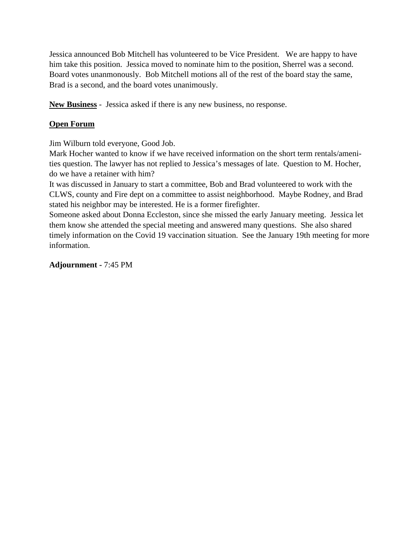Jessica announced Bob Mitchell has volunteered to be Vice President. We are happy to have him take this position. Jessica moved to nominate him to the position, Sherrel was a second. Board votes unanmonously. Bob Mitchell motions all of the rest of the board stay the same, Brad is a second, and the board votes unanimously.

**New Business** - Jessica asked if there is any new business, no response.

# **Open Forum**

Jim Wilburn told everyone, Good Job.

Mark Hocher wanted to know if we have received information on the short term rentals/amenities question. The lawyer has not replied to Jessica's messages of late. Question to M. Hocher, do we have a retainer with him?

It was discussed in January to start a committee, Bob and Brad volunteered to work with the CLWS, county and Fire dept on a committee to assist neighborhood. Maybe Rodney, and Brad stated his neighbor may be interested. He is a former firefighter.

Someone asked about Donna Eccleston, since she missed the early January meeting. Jessica let them know she attended the special meeting and answered many questions. She also shared timely information on the Covid 19 vaccination situation. See the January 19th meeting for more information.

**Adjournment -** 7:45 PM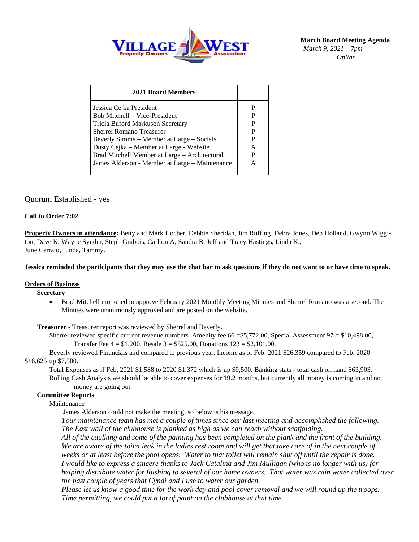

| <b>2021 Board Members</b>                                                                                                                                                                                                                                                       |                                 |
|---------------------------------------------------------------------------------------------------------------------------------------------------------------------------------------------------------------------------------------------------------------------------------|---------------------------------|
| Jessica Cejka President<br><b>Bob Mitchell – Vice-President</b><br>Tricia Buford Markuson Secretary<br><b>Sherrel Romano Treasurer</b><br>Beverly Simms – Member at Large – Socials<br>Dusty Cejka - Member at Large - Website<br>Brad Mitchell Member at Large - Architectural | P<br>P<br>P<br>P<br>P<br>A<br>P |
| James Alderson - Member at Large - Maintenance                                                                                                                                                                                                                                  | A                               |

# Quorum Established - yes

#### **Call to Order 7:02**

**Property Owners in attendance:** Betty and Mark Hocher, Debbie Sheridan, Jim Ruffing, Debra Jones, Deb Holland, Gwynn Wiggiton, Dave K, Wayne Synder, Steph Grabois, Carlton A, Sandra B, Jeff and Tracy Hastings, Linda K., June Cerrato, Linda, Tammy.

#### Jessica reminded the participants that they may use the chat bar to ask questions if they do not want to or have time to speak.

#### **Orders of Business**

**Secretary**

• Brad Mitchell motioned to approve February 2021 Monthly Meeting Minutes and Sherrel Romano was a second. The Minutes were unanimously approved and are posted on the website.

**Treasurer** - Treasurer report was reviewed by Sherrel and Beverly.

Sherrel reviewed specific current revenue numbers Amenity fee 66 = \$5,772.00, Special Assessment 97 = \$10,498.00, Transfer Fee  $4 = $1,200$ , Resale  $3 = $825.00$ , Donations  $123 = $2,101.00$ .

Beverly reviewed Financials and compared to previous year. Income as of Feb. 2021 \$26,359 compared to Feb. 2020 \$16,625 up \$7,500.

Total Expenses as if Feb, 2021 \$1,588 to 2020 \$1,372 which is up \$9,500. Banking stats - total cash on hand \$63,903. Rolling Cash Analysis we should be able to cover expenses for 19.2 months, but currently all money is coming in and no money are going out.

## **Committee Reports**

#### Maintenance

James Alderson could not make the meeting, so below is his message.

*Your maintenance team has met a couple of times since our last meeting and accomplished the following. The East wall of the clubhouse is planked as high as we can reach without scaffolding.* 

All of the caulking and some of the painting has been completed on the plank and the front of the building. We are aware of the toilet leak in the ladies rest room and will get that take care of in the next couple of weeks or at least before the pool opens. Water to that toilet will remain shut off until the repair is done. I would like to express a sincere thanks to Jack Catalina and Jim Mulligan (who is no longer with us) for helping distribute water for flushing to several of our home owners. That water was rain water collected over *the past couple of years that Cyndi and I use to water our garden.* 

Please let us know a good time for the work day and pool cover removal and we will round up the troops. *Time permitting, we could put a lot of paint on the clubhouse at that time.*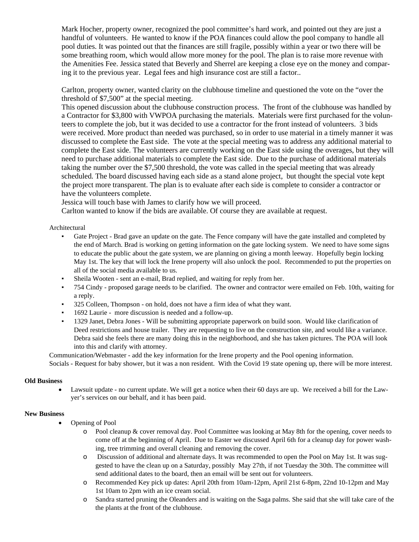Mark Hocher, property owner, recognized the pool committee's hard work, and pointed out they are just a handful of volunteers. He wanted to know if the POA finances could allow the pool company to handle all pool duties. It was pointed out that the finances are still fragile, possibly within a year or two there will be some breathing room, which would allow more money for the pool. The plan is to raise more revenue with the Amenities Fee. Jessica stated that Beverly and Sherrel are keeping a close eye on the money and comparing it to the previous year. Legal fees and high insurance cost are still a factor..

Carlton, property owner, wanted clarity on the clubhouse timeline and questioned the vote on the "over the threshold of \$7,500" at the special meeting.

This opened discussion about the clubhouse construction process. The front of the clubhouse was handled by a Contractor for \$3,800 with VWPOA purchasing the materials. Materials were first purchased for the volunteers to complete the job, but it was decided to use a contractor for the front instead of volunteers. 3 bids were received. More product than needed was purchased, so in order to use material in a timely manner it was discussed to complete the East side. The vote at the special meeting was to address any additional material to complete the East side. The volunteers are currently working on the East side using the overages, but they will need to purchase additional materials to complete the East side. Due to the purchase of additional materials taking the number over the \$7,500 threshold, the vote was called in the special meeting that was already scheduled. The board discussed having each side as a stand alone project, but thought the special vote kept the project more transparent. The plan is to evaluate after each side is complete to consider a contractor or have the volunteers complete.

Jessica will touch base with James to clarify how we will proceed.

Carlton wanted to know if the bids are available. Of course they are available at request.

Architectural

- Gate Project Brad gave an update on the gate. The Fence company will have the gate installed and completed by the end of March. Brad is working on getting information on the gate locking system. We need to have some signs to educate the public about the gate system, we are planning on giving a month leeway. Hopefully begin locking May 1st. The key that will lock the Irene property will also unlock the pool. Recommended to put the properties on all of the social media available to us.
- Sheila Wooten sent an e-mail, Brad replied, and waiting for reply from her.
- 754 Cindy proposed garage needs to be clarified. The owner and contractor were emailed on Feb. 10th, waiting for a reply.
- 325 Colleen, Thompson on hold, does not have a firm idea of what they want.
- 1692 Laurie more discussion is needed and a follow-up.
- 1329 Janet, Debra Jones Will be submitting appropriate paperwork on build soon. Would like clarification of Deed restrictions and house trailer. They are requesting to live on the construction site, and would like a variance. Debra said she feels there are many doing this in the neighborhood, and she has taken pictures. The POA will look into this and clarify with attorney.

Communication/Webmaster - add the key information for the Irene property and the Pool opening information.

Socials - Request for baby shower, but it was a non resident. With the Covid 19 state opening up, there will be more interest.

#### **Old Business**

• Lawsuit update - no current update. We will get a notice when their 60 days are up. We received a bill for the Lawyer's services on our behalf, and it has been paid.

#### **New Business**

- Opening of Pool
	- o Pool cleanup & cover removal day. Pool Committee was looking at May 8th for the opening, cover needs to come off at the beginning of April. Due to Easter we discussed April 6th for a cleanup day for power washing, tree trimming and overall cleaning and removing the cover.
	- o Discussion of additional and alternate days. It was recommended to open the Pool on May 1st. It was suggested to have the clean up on a Saturday, possibly May 27th, if not Tuesday the 30th. The committee will send additional dates to the board, then an email will be sent out for volunteers.
	- o Recommended Key pick up dates: April 20th from 10am-12pm, April 21st 6-8pm, 22nd 10-12pm and May 1st 10am to 2pm with an ice cream social.
	- o Sandra started pruning the Oleanders and is waiting on the Saga palms. She said that she will take care of the the plants at the front of the clubhouse.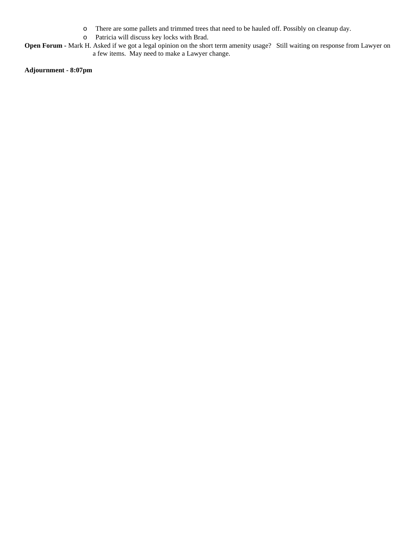- o There are some pallets and trimmed trees that need to be hauled off. Possibly on cleanup day.
- o Patricia will discuss key locks with Brad.
- **Open Forum -** Mark H. Asked if we got a legal opinion on the short term amenity usage? Still waiting on response from Lawyer on a few items. May need to make a Lawyer change.

**Adjournment - 8:07pm**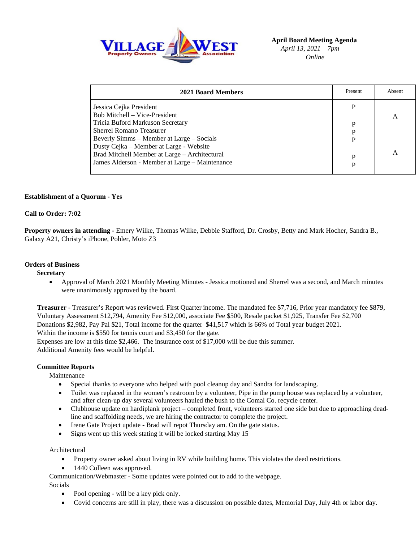

**April Board Meeting Agenda**  *April 13, 2021 7pm Online*

| 2021 Board Members                             | Present | Absent |
|------------------------------------------------|---------|--------|
| Jessica Cejka President                        | P       |        |
| Bob Mitchell – Vice-President                  |         | A      |
| Tricia Buford Markuson Secretary               | D       |        |
| <b>Sherrel Romano Treasurer</b>                | D       |        |
| Beverly Simms – Member at Large – Socials      | P       |        |
| Dusty Cejka - Member at Large - Website        |         |        |
| Brad Mitchell Member at Large - Architectural  | D       | A      |
| James Alderson - Member at Large - Maintenance | P       |        |

#### **Establishment of a Quorum - Yes**

#### **Call to Order: 7:02**

**Property owners in attending -** Emery Wilke, Thomas Wilke, Debbie Stafford, Dr. Crosby, Betty and Mark Hocher, Sandra B., Galaxy A21, Christy's iPhone, Pohler, Moto Z3

#### **Orders of Business**

#### **Secretary**

• Approval of March 2021 Monthly Meeting Minutes - Jessica motioned and Sherrel was a second, and March minutes were unanimously approved by the board.

**Treasurer** - Treasurer's Report was reviewed. First Quarter income. The mandated fee \$7,716, Prior year mandatory fee \$879, Voluntary Assessment \$12,794, Amenity Fee \$12,000, associate Fee \$500, Resale packet \$1,925, Transfer Fee \$2,700 Donations \$2,982, Pay Pal \$21, Total income for the quarter \$41,517 which is 66% of Total year budget 2021. Within the income is \$550 for tennis court and \$3,450 for the gate.

Expenses are low at this time \$2,466. The insurance cost of \$17,000 will be due this summer. Additional Amenity fees would be helpful.

#### **Committee Reports**

Maintenance

- Special thanks to everyone who helped with pool cleanup day and Sandra for landscaping.
- Toilet was replaced in the women's restroom by a volunteer, Pipe in the pump house was replaced by a volunteer, and after clean-up day several volunteers hauled the bush to the Comal Co. recycle center.
- Clubhouse update on hardiplank project completed front, volunteers started one side but due to approaching deadline and scaffolding needs, we are hiring the contractor to complete the project.
- Irene Gate Project update Brad will repot Thursday am. On the gate status.
- Signs went up this week stating it will be locked starting May 15

Architectural

- Property owner asked about living in RV while building home. This violates the deed restrictions.
- 1440 Colleen was approved.

Communication/Webmaster - Some updates were pointed out to add to the webpage.

Socials

- Pool opening will be a key pick only.
- Covid concerns are still in play, there was a discussion on possible dates, Memorial Day, July 4th or labor day.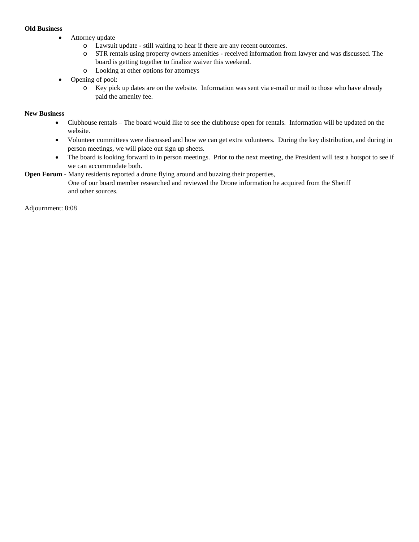#### **Old Business**

- Attorney update
	- o Lawsuit update still waiting to hear if there are any recent outcomes.
	- o STR rentals using property owners amenities received information from lawyer and was discussed. The board is getting together to finalize waiver this weekend.
	- o Looking at other options for attorneys
- Opening of pool:
	- o Key pick up dates are on the website. Information was sent via e-mail or mail to those who have already paid the amenity fee.

#### **New Business**

- Clubhouse rentals The board would like to see the clubhouse open for rentals. Information will be updated on the website.
- Volunteer committees were discussed and how we can get extra volunteers. During the key distribution, and during in person meetings, we will place out sign up sheets.
- The board is looking forward to in person meetings. Prior to the next meeting, the President will test a hotspot to see if we can accommodate both.

**Open Forum -** Many residents reported a drone flying around and buzzing their properties,

 One of our board member researched and reviewed the Drone information he acquired from the Sheriff and other sources.

Adjournment: 8:08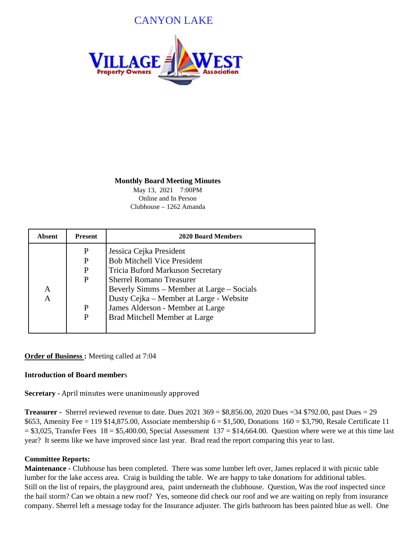# CANYON LAKE



## **Monthly Board Meeting Minutes**

May 13, 2021 7:00PM Online and In Person Clubhouse – 1262 Amanda

| Absent | <b>Present</b> | <b>2020 Board Members</b>                 |
|--------|----------------|-------------------------------------------|
|        | P              | Jessica Cejka President                   |
|        |                | <b>Bob Mitchell Vice President</b>        |
|        | P              | Tricia Buford Markuson Secretary          |
|        | P              | <b>Sherrel Romano Treasurer</b>           |
| A      |                | Beverly Simms – Member at Large – Socials |
| A      |                | Dusty Cejka – Member at Large - Website   |
|        | P              | James Alderson - Member at Large          |
|        | P              | Brad Mitchell Member at Large             |
|        |                |                                           |

# **Order of Business :** Meeting called at 7:04

# **Introduction of Board member**s

**Secretary -** April minutes were unanimously approved

**Treasurer -** Sherrel reviewed revenue to date. Dues 2021 369 = \$8,856.00, 2020 Dues =34 \$792.00, past Dues = 29 \$653, Amenity Fee = 119 \$14,875.00, Associate membership  $6 = $1,500$ , Donations  $160 = $3,790$ , Resale Certificate 11  $= $3,025$ , Transfer Fees 18 = \$5,400.00, Special Assessment 137 = \$14,664.00. Question where were we at this time last year? It seems like we have improved since last year. Brad read the report comparing this year to last.

# **Committee Reports:**

**Maintenance -** Clubhouse has been completed. There was some lumber left over, James replaced it with picnic table lumber for the lake access area. Craig is building the table. We are happy to take donations for additional tables. Still on the list of repairs, the playground area, paint underneath the clubhouse. Question, Was the roof inspected since the hail storm? Can we obtain a new roof? Yes, someone did check our roof and we are waiting on reply from insurance company. Sherrel left a message today for the Insurance adjuster. The girls bathroom has been painted blue as well. One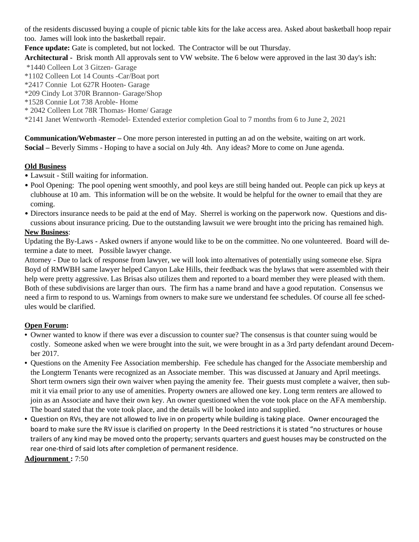of the residents discussed buying a couple of picnic table kits for the lake access area. Asked about basketball hoop repair too. James will look into the basketball repair.

**Fence update:** Gate is completed, but not locked. The Contractor will be out Thursday.

**Architectural -** Brisk month All approvals sent to VW website. The 6 below were approved in the last 30 day's ish:

- \*1440 Colleen Lot 3 Gitzen- Garage
- \*1102 Colleen Lot 14 Counts -Car/Boat port
- \*2417 Connie Lot 627R Hooten- Garage
- \*209 Cindy Lot 370R Brannon- Garage/Shop
- \*1528 Connie Lot 738 Aroble- Home
- \* 2042 Colleen Lot 78R Thomas- Home/ Garage

\*2141 Janet Wentworth -Remodel- Extended exterior completion Goal to 7 months from 6 to June 2, 2021

**Communication/Webmaster –** One more person interested in putting an ad on the website, waiting on art work. **Social –** Beverly Simms - Hoping to have a social on July 4th. Any ideas? More to come on June agenda.

# **Old Business**

- Lawsuit Still waiting for information.
- Pool Opening: The pool opening went smoothly, and pool keys are still being handed out. People can pick up keys at clubhouse at 10 am. This information will be on the website. It would be helpful for the owner to email that they are coming.
- Directors insurance needs to be paid at the end of May. Sherrel is working on the paperwork now. Questions and discussions about insurance pricing. Due to the outstanding lawsuit we were brought into the pricing has remained high.

# **New Business**:

Updating the By-Laws - Asked owners if anyone would like to be on the committee. No one volunteered. Board will determine a date to meet. Possible lawyer change.

Attorney - Due to lack of response from lawyer, we will look into alternatives of potentially using someone else. Sipra Boyd of RMWBH same lawyer helped Canyon Lake Hills, their feedback was the bylaws that were assembled with their help were pretty aggressive. Las Brisas also utilizes them and reported to a board member they were pleased with them. Both of these subdivisions are larger than ours. The firm has a name brand and have a good reputation. Consensus we need a firm to respond to us. Warnings from owners to make sure we understand fee schedules. Of course all fee schedules would be clarified.

# **Open Forum:**

- Owner wanted to know if there was ever a discussion to counter sue? The consensus is that counter suing would be costly. Someone asked when we were brought into the suit, we were brought in as a 3rd party defendant around December 2017.
- Questions on the Amenity Fee Association membership. Fee schedule has changed for the Associate membership and the Longterm Tenants were recognized as an Associate member. This was discussed at January and April meetings. Short term owners sign their own waiver when paying the amenity fee. Their guests must complete a waiver, then submit it via email prior to any use of amenities. Property owners are allowed one key. Long term renters are allowed to join as an Associate and have their own key. An owner questioned when the vote took place on the AFA membership. The board stated that the vote took place, and the details will be looked into and supplied.
- Question on RVs, they are not allowed to live in on property while building is taking place. Owner encouraged the board to make sure the RV issue is clarified on property In the Deed restrictions it is stated "no structures or house trailers of any kind may be moved onto the property; servants quarters and guest houses may be constructed on the rear one-third of said lots after completion of permanent residence.

**Adjournment :** 7:50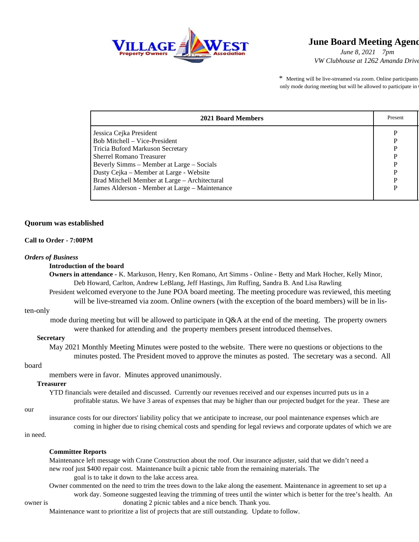

# **June Board Meeting Agend**

*June 8, 2021 7pm VW Clubhouse at 1262 Amanda Drive*

\* Meeting will be live-streamed via zoom. Online participants only mode during meeting but will be allowed to participate in

| 2021 Board Members                             |   |
|------------------------------------------------|---|
| Jessica Cejka President                        |   |
| Bob Mitchell – Vice-President                  |   |
| Tricia Buford Markuson Secretary               |   |
| <b>Sherrel Romano Treasurer</b>                | P |
| Beverly Simms – Member at Large – Socials      | D |
| Dusty Cejka - Member at Large - Website        |   |
| Brad Mitchell Member at Large - Architectural  | D |
| James Alderson - Member at Large - Maintenance | D |
|                                                |   |

#### **Quorum was established**

#### **Call to Order - 7:00PM**

#### *Orders of Business*

#### **Introduction of the board**

**Owners in attendance -** K. Markuson, Henry, Ken Romano, Art Simms - Online - Betty and Mark Hocher, Kelly Minor, Deb Howard, Carlton, Andrew LeBlang, Jeff Hastings, Jim Ruffing, Sandra B. And Lisa Rawling

President welcomed everyone to the June POA board meeting. The meeting procedure was reviewed, this meeting will be live-streamed via zoom. Online owners (with the exception of the board members) will be in lis-

#### ten-only

 mode during meeting but will be allowed to participate in Q&A at the end of the meeting. The property owners were thanked for attending and the property members present introduced themselves.

#### **Secretary**

May 2021 Monthly Meeting Minutes were posted to the website. There were no questions or objections to the minutes posted. The President moved to approve the minutes as posted. The secretary was a second. All

#### board

members were in favor. Minutes approved unanimously.

#### **Treasurer**

YTD financials were detailed and discussed. Currently our revenues received and our expenses incurred puts us in a profitable status. We have 3 areas of expenses that may be higher than our projected budget for the year. These are

#### our

insurance costs for our directors' liability policy that we anticipate to increase, our pool maintenance expenses which are coming in higher due to rising chemical costs and spending for legal reviews and corporate updates of which we are

#### in need.

#### **Committee Reports**

Maintenance left message with Crane Construction about the roof. Our insurance adjuster, said that we didn't need a new roof just \$400 repair cost. Maintenance built a picnic table from the remaining materials. The goal is to take it down to the lake access area.

Owner commented on the need to trim the trees down to the lake along the easement. Maintenance in agreement to set up a work day. Someone suggested leaving the trimming of trees until the winter which is better for the tree's health. An owner is donating 2 picnic tables and a nice bench. Thank you.

Maintenance want to prioritize a list of projects that are still outstanding. Update to follow.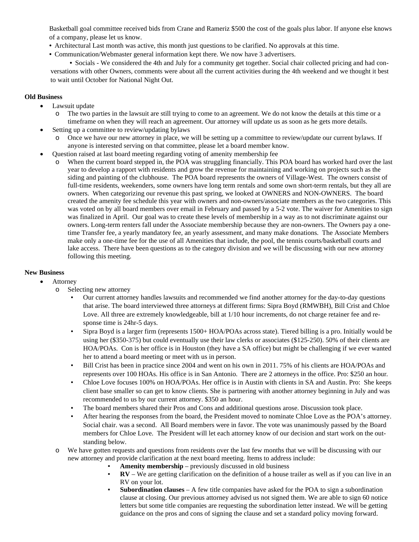Basketball goal committee received bids from Crane and Rameriz \$500 the cost of the goals plus labor. If anyone else knows of a company, please let us know.

- Architectural Last month was active, this month just questions to be clarified. No approvals at this time.
- Communication/Webmaster general information kept there. We now have 3 advertisers.

• Socials - We considered the 4th and July for a community get together. Social chair collected pricing and had conversations with other Owners, comments were about all the current activities during the 4th weekend and we thought it best to wait until October for National Night Out.

#### **Old Business**

- Lawsuit update
	- o The two parties in the lawsuit are still trying to come to an agreement. We do not know the details at this time or a timeframe on when they will reach an agreement. Our attorney will update us as soon as he gets more details.
- Setting up a committee to review/updating bylaws
	- o Once we have our new attorney in place, we will be setting up a committee to review/update our current bylaws. If anyone is interested serving on that committee, please let a board member know.
- Question raised at last board meeting regarding voting of amenity membership fee
	- o When the current board stepped in, the POA was struggling financially. This POA board has worked hard over the last year to develop a rapport with residents and grow the revenue for maintaining and working on projects such as the siding and painting of the clubhouse. The POA board represents the owners of Village-West. The owners consist of full-time residents, weekenders, some owners have long term rentals and some own short-term rentals, but they all are owners. When categorizing our revenue this past spring, we looked at OWNERS and NON-OWNERS. The board created the amenity fee schedule this year with owners and non-owners/associate members as the two categories. This was voted on by all board members over email in February and passed by a 5-2 vote. The waiver for Amenities to sign was finalized in April. Our goal was to create these levels of membership in a way as to not discriminate against our owners. Long-term renters fall under the Associate membership because they are non-owners. The Owners pay a onetime Transfer fee, a yearly mandatory fee, an yearly assessment, and many make donations. The Associate Members make only a one-time fee for the use of all Amenities that include, the pool, the tennis courts/basketball courts and lake access. There have been questions as to the category division and we will be discussing with our new attorney following this meeting.

#### **New Business**

#### **Attorney**

- o Selecting new attorney
	- Our current attorney handles lawsuits and recommended we find another attorney for the day-to-day questions that arise. The board interviewed three attorneys at different firms: Sipra Boyd (RMWBH), Bill Crist and Chloe Love. All three are extremely knowledgeable, bill at  $1/10$  hour increments, do not charge retainer fee and response time is 24hr-5 days.
	- Sipra Boyd is a larger firm (represents 1500+ HOA/POAs across state). Tiered billing is a pro. Initially would be using her (\$350-375) but could eventually use their law clerks or associates (\$125-250). 50% of their clients are HOA/POAs. Con is her office is in Houston (they have a SA office) but might be challenging if we ever wanted her to attend a board meeting or meet with us in person.
	- Bill Crist has been in practice since 2004 and went on his own in 2011. 75% of his clients are HOA/POAs and represents over 100 HOAs. His office is in San Antonio. There are 2 attorneys in the office. Pro: \$250 an hour*.*
	- Chloe Love focuses 100% on HOA/POAs. Her office is in Austin with clients in SA and Austin. Pro: She keeps client base smaller so can get to know clients. She is partnering with another attorney beginning in July and was recommended to us by our current attorney. \$350 an hour.
	- The board members shared their Pros and Cons and additional questions arose. Discussion took place.
	- After hearing the responses from the board, the President moved to nominate Chloe Love as the POA's attorney. Social chair. was a second. All Board members were in favor. The vote was unanimously passed by the Board members for Chloe Love. The President will let each attorney know of our decision and start work on the outstanding below.
- o We have gotten requests and questions from residents over the last few months that we will be discussing with our new attorney and provide clarification at the next board meeting. Items to address include:
	- Amenity membership previously discussed in old business
	- **RV** We are getting clarification on the definition of a house trailer as well as if you can live in an RV on your lot.
	- **Subordination clauses** A few title companies have asked for the POA to sign a subordination clause at closing. Our previous attorney advised us not signed them. We are able to sign 60 notice letters but some title companies are requesting the subordination letter instead. We will be getting guidance on the pros and cons of signing the clause and set a standard policy moving forward.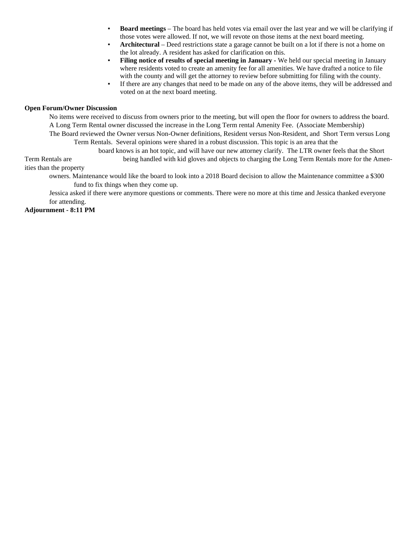- **Board meetings** The board has held votes via email over the last year and we will be clarifying if those votes were allowed. If not, we will revote on those items at the next board meeting.
- **Architectural** Deed restrictions state a garage cannot be built on a lot if there is not a home on the lot already. A resident has asked for clarification on this.
- **Filing notice of results of special meeting in January -** We held our special meeting in January where residents voted to create an amenity fee for all amenities. We have drafted a notice to file with the county and will get the attorney to review before submitting for filing with the county.
- If there are any changes that need to be made on any of the above items, they will be addressed and voted on at the next board meeting.

#### **Open Forum/Owner Discussion**

No items were received to discuss from owners prior to the meeting, but will open the floor for owners to address the board. A Long Term Rental owner discussed the increase in the Long Term rental Amenity Fee. (Associate Membership) The Board reviewed the Owner versus Non-Owner definitions, Resident versus Non-Resident, and Short Term versus Long Term Rentals. Several opinions were shared in a robust discussion. This topic is an area that the

board knows is an hot topic, and will have our new attorney clarify. The LTR owner feels that the Short

Term Rentals are being handled with kid gloves and objects to charging the Long Term Rentals more for the Amen-

ities than the property

owners. Maintenance would like the board to look into a 2018 Board decision to allow the Maintenance committee a \$300 fund to fix things when they come up.

Jessica asked if there were anymore questions or comments. There were no more at this time and Jessica thanked everyone for attending.

**Adjournment - 8:11 PM**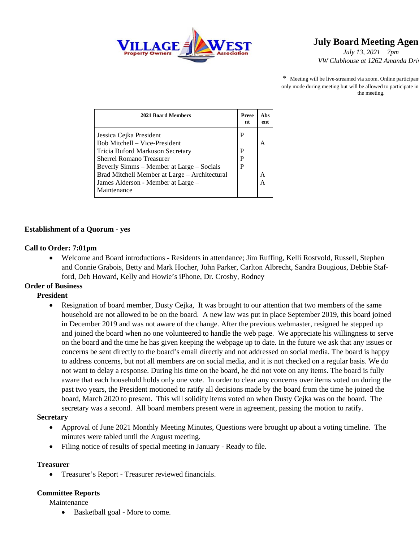

# **July Board Meeting Agen**

*July 13, 2021 7pm VW* Clubhouse at 1262 Amanda Dri

\* Meeting will be live-streamed via zoom. Online participant only mode during meeting but will be allowed to participate in the meeting.

| <b>2021 Board Members</b>                                                                                                                                                                                                                                                   | <b>Prese</b><br>nt | Abs<br>ent |
|-----------------------------------------------------------------------------------------------------------------------------------------------------------------------------------------------------------------------------------------------------------------------------|--------------------|------------|
| Jessica Cejka President<br>Bob Mitchell – Vice-President<br>Tricia Buford Markuson Secretary<br>Sherrel Romano Treasurer<br>Beverly Simms – Member at Large – Socials<br>Brad Mitchell Member at Large - Architectural<br>James Alderson - Member at Large -<br>Maintenance | P<br>P<br>P<br>P   |            |

## **Establishment of a Quorum - yes**

## **Call to Order: 7:01pm**

• Welcome and Board introductions - Residents in attendance; Jim Ruffing, Kelli Rostvold, Russell, Stephen and Connie Grabois, Betty and Mark Hocher, John Parker, Carlton Albrecht, Sandra Bougious, Debbie Stafford, Deb Howard, Kelly and Howie's iPhone, Dr. Crosby, Rodney

## **Order of Business**

## **President**

• Resignation of board member, Dusty Cejka, It was brought to our attention that two members of the same household are not allowed to be on the board. A new law was put in place September 2019, this board joined in December 2019 and was not aware of the change. After the previous webmaster, resigned he stepped up and joined the board when no one volunteered to handle the web page. We appreciate his willingness to serve on the board and the time he has given keeping the webpage up to date. In the future we ask that any issues or concerns be sent directly to the board's email directly and not addressed on social media. The board is happy to address concerns, but not all members are on social media, and it is not checked on a regular basis. We do not want to delay a response. During his time on the board, he did not vote on any items. The board is fully aware that each household holds only one vote. In order to clear any concerns over items voted on during the past two years, the President motioned to ratify all decisions made by the board from the time he joined the board, March 2020 to present. This will solidify items voted on when Dusty Cejka was on the board. The secretary was a second. All board members present were in agreement, passing the motion to ratify.

#### **Secretary**

- Approval of June 2021 Monthly Meeting Minutes, Questions were brought up about a voting timeline. The minutes were tabled until the August meeting.
- Filing notice of results of special meeting in January Ready to file.

## **Treasurer**

• Treasurer's Report - Treasurer reviewed financials.

## **Committee Reports**

Maintenance

• Basketball goal - More to come.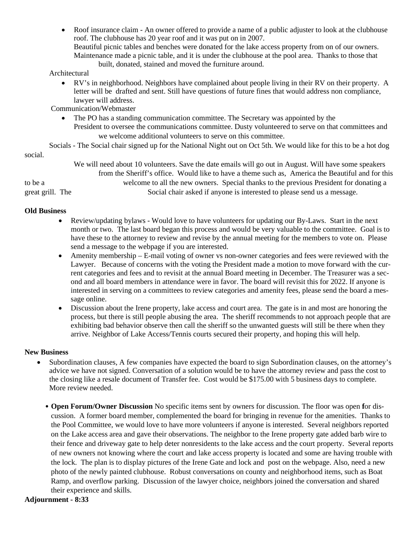- Roof insurance claim An owner offered to provide a name of a public adjuster to look at the clubhouse roof. The clubhouse has 20 year roof and it was put on in 2007. Beautiful picnic tables and benches were donated for the lake access property from on of our owners. Maintenance made a picnic table, and it is under the clubhouse at the pool area. Thanks to those that built, donated, stained and moved the furniture around.
- Architectural
	- RV's in neighborhood. Neighbors have complained about people living in their RV on their property. A letter will be drafted and sent. Still have questions of future fines that would address non compliance, lawyer will address.

Communication/Webmaster

• The PO has a standing communication committee. The Secretary was appointed by the President to oversee the communications committee. Dusty volunteered to serve on that committees and we welcome additional volunteers to serve on this committee.

Socials - The Social chair signed up for the National Night out on Oct 5th. We would like for this to be a hot dog social.

We will need about 10 volunteers. Save the date emails will go out in August. Will have some speakers from the Sheriff's office. Would like to have a theme such as, America the Beautiful and for this to be a welcome to all the new owners. Special thanks to the previous President for donating a great grill. The Social chair asked if anyone is interested to please send us a message.

## **Old Business**

- Review/updating bylaws Would love to have volunteers for updating our By-Laws. Start in the next month or two. The last board began this process and would be very valuable to the committee. Goal is to have these to the attorney to review and revise by the annual meeting for the members to vote on. Please send a message to the webpage if you are interested.
- Amenity membership E-mail voting of owner vs non-owner categories and fees were reviewed with the Lawyer. Because of concerns with the voting the President made a motion to move forward with the current categories and fees and to revisit at the annual Board meeting in December. The Treasurer was a second and all board members in attendance were in favor. The board will revisit this for 2022. If anyone is interested in serving on a committees to review categories and amenity fees, please send the board a message online.
- Discussion about the Irene property, lake access and court area. The gate is in and most are honoring the process, but there is still people abusing the area. The sheriff recommends to not approach people that are exhibiting bad behavior observe then call the sheriff so the unwanted guests will still be there when they arrive. Neighbor of Lake Access/Tennis courts secured their property, and hoping this will help.

## **New Business**

- Subordination clauses, A few companies have expected the board to sign Subordination clauses, on the attorney's advice we have not signed. Conversation of a solution would be to have the attorney review and pass the cost to the closing like a resale document of Transfer fee. Cost would be \$175.00 with 5 business days to complete. More review needed.
	- **Open Forum/Owner Discussion** No specific items sent by owners for discussion. The floor was open **f**or discussion. A former board member, complemented the board for bringing in revenue for the amenities. Thanks to the Pool Committee, we would love to have more volunteers if anyone is interested. Several neighbors reported on the Lake access area and gave their observations. The neighbor to the Irene property gate added barb wire to their fence and driveway gate to help deter nonresidents to the lake access and the court property. Several reports of new owners not knowing where the court and lake access property is located and some are having trouble with the lock. The plan is to display pictures of the Irene Gate and lock and post on the webpage. Also, need a new photo of the newly painted clubhouse. Robust conversations on county and neighborhood items, such as Boat Ramp, and overflow parking. Discussion of the lawyer choice, neighbors joined the conversation and shared their experience and skills.

## **Adjournment - 8:33**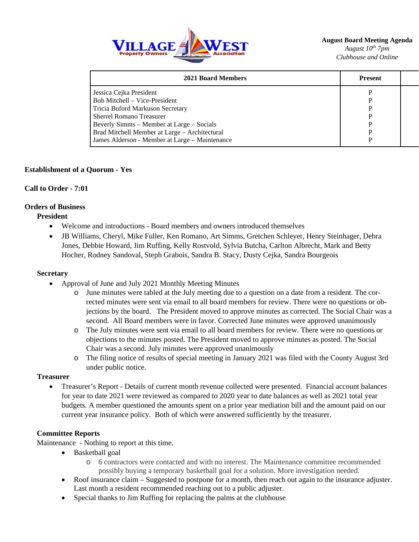

**August Board Meeting Agenda** *August 10th 7pm Clubhouse and Online*

| 2021 Board Members                             | <b>Present</b> |  |
|------------------------------------------------|----------------|--|
| Jessica Cejka President                        |                |  |
| Bob Mitchell – Vice-President                  |                |  |
| Tricia Buford Markuson Secretary               |                |  |
| <b>Sherrel Romano Treasurer</b>                |                |  |
| Beverly Simms – Member at Large – Socials      | P              |  |
| Brad Mitchell Member at Large - Architectural  | P              |  |
| James Alderson - Member at Large - Maintenance |                |  |

## **Establishment of a Quorum - Yes**

## **Call to Order - 7:01**

## **Orders of Business**

## **President**

- Welcome and introductions Board members and owners introduced themselves
- JB Williams, Cheryl, Mike Fuller, Ken Romano, Art Simms, Gretchen Schleyer, Henry Steinhager, Debra Jones, Debbie Howard, Jim Ruffing, Kelly Rostvold, Sylvia Butcha, Carlton Albrecht, Mark and Betty Hocher, Rodney Sandoval, Steph Grabois, Sandra B. Stacy, Dusty Cejka, Sandra Bourgeois

#### **Secretary**

- Approval of June and July 2021 Monthly Meeting Minutes
	- o June minutes were tabled at the July meeting due to a question on a date from a resident. The corrected minutes were sent via email to all board members for review. There were no questions or objections by the board. The President moved to approve minutes as corrected. The Social Chair was a second. All Board members were in favor. Corrected June minutes were approved unanimously
	- o The July minutes were sent via email to all board members for review. There were no questions or objections to the minutes posted. The President moved to approve minutes as posted. The Social Chair was a second. July minutes were approved unanimously
	- o The filing notice of results of special meeting in January 2021 was filed with the County August 3rd under public notice.

## **Treasurer**

• Treasurer's Report - Details of current month revenue collected were presented. Financial account balances for year to date 2021 were reviewed as compared to 2020 year to date balances as well as 2021 total year budgets. A member questioned the amounts spent on a prior year mediation bill and the amount paid on our current year insurance policy. Both of which were answered sufficiently by the treasurer.

## **Committee Reports**

Maintenance - Nothing to report at this time.

- Basketball goal
	- o 6 contractors were contacted and with no interest. The Maintenance committee recommended possibly buying a temporary basketball goal for a solution. More investigation needed.
- Roof insurance claim Suggested to postpone for a month, then reach out again to the insurance adjuster. Last month a resident recommended reaching out to a public adjuster.
- Special thanks to Jim Ruffing for replacing the palms at the clubhouse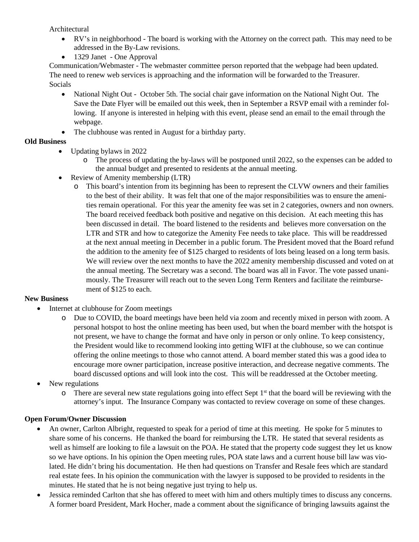Architectural

- RV's in neighborhood The board is working with the Attorney on the correct path. This may need to be addressed in the By-Law revisions.
- 1329 Janet One Approval

Communication/Webmaster - The webmaster committee person reported that the webpage had been updated. The need to renew web services is approaching and the information will be forwarded to the Treasurer. Socials

- National Night Out October 5th. The social chair gave information on the National Night Out. The Save the Date Flyer will be emailed out this week, then in September a RSVP email with a reminder following. If anyone is interested in helping with this event, please send an email to the email through the webpage.
- The clubhouse was rented in August for a birthday party.

# **Old Business**

- Updating bylaws in 2022
	- o The process of updating the by-laws will be postponed until 2022, so the expenses can be added to the annual budget and presented to residents at the annual meeting.
	- Review of Amenity membership (LTR)
		- o This board's intention from its beginning has been to represent the CLVW owners and their families to the best of their ability. It was felt that one of the major responsibilities was to ensure the amenities remain operational. For this year the amenity fee was set in 2 categories, owners and non owners. The board received feedback both positive and negative on this decision. At each meeting this has been discussed in detail. The board listened to the residents and believes more conversation on the LTR and STR and how to categorize the Amenity Fee needs to take place. This will be readdressed at the next annual meeting in December in a public forum. The President moved that the Board refund the addition to the amenity fee of \$125 charged to residents of lots being leased on a long term basis. We will review over the next months to have the 2022 amenity membership discussed and voted on at the annual meeting. The Secretary was a second. The board was all in Favor. The vote passed unanimously. The Treasurer will reach out to the seven Long Term Renters and facilitate the reimbursement of \$125 to each.

# **New Business**

- Internet at clubhouse for Zoom meetings
	- o Due to COVID, the board meetings have been held via zoom and recently mixed in person with zoom. A personal hotspot to host the online meeting has been used, but when the board member with the hotspot is not present, we have to change the format and have only in person or only online. To keep consistency, the President would like to recommend looking into getting WIFI at the clubhouse, so we can continue offering the online meetings to those who cannot attend. A board member stated this was a good idea to encourage more owner participation, increase positive interaction, and decrease negative comments. The board discussed options and will look into the cost. This will be readdressed at the October meeting.
- New regulations
	- o There are several new state regulations going into effect Sept 1st that the board will be reviewing with the attorney's input. The Insurance Company was contacted to review coverage on some of these changes.

# **Open Forum/Owner Discussion**

- An owner, Carlton Albright, requested to speak for a period of time at this meeting. He spoke for 5 minutes to share some of his concerns. He thanked the board for reimbursing the LTR. He stated that several residents as well as himself are looking to file a lawsuit on the POA. He stated that the property code suggest they let us know so we have options. In his opinion the Open meeting rules, POA state laws and a current house bill law was violated. He didn't bring his documentation. He then had questions on Transfer and Resale fees which are standard real estate fees. In his opinion the communication with the lawyer is supposed to be provided to residents in the minutes. He stated that he is not being negative just trying to help us.
- Jessica reminded Carlton that she has offered to meet with him and others multiply times to discuss any concerns. A former board President, Mark Hocher, made a comment about the significance of bringing lawsuits against the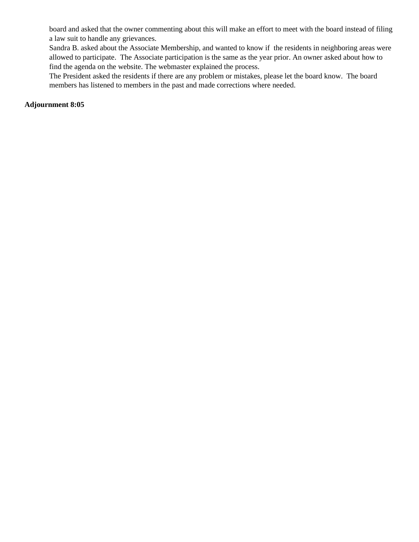board and asked that the owner commenting about this will make an effort to meet with the board instead of filing a law suit to handle any grievances.

Sandra B. asked about the Associate Membership, and wanted to know if the residents in neighboring areas were allowed to participate. The Associate participation is the same as the year prior. An owner asked about how to find the agenda on the website. The webmaster explained the process.

The President asked the residents if there are any problem or mistakes, please let the board know. The board members has listened to members in the past and made corrections where needed.

## **Adjournment 8:05**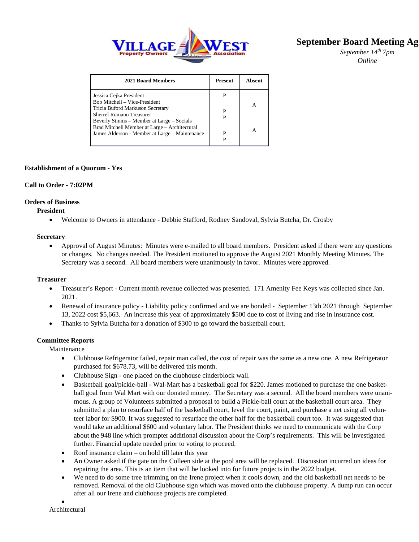

*Online*

| <b>2021 Board Members</b>                                                                                        | <b>Present</b> | <b>A</b> hsent |
|------------------------------------------------------------------------------------------------------------------|----------------|----------------|
| Jessica Cejka President<br>Bob Mitchell - Vice-President                                                         | P              |                |
| Tricia Buford Markuson Secretary<br><b>Sherrel Romano Treasurer</b><br>Beverly Simms – Member at Large – Socials | P<br>P         |                |
| Brad Mitchell Member at Large - Architectural<br>James Alderson - Member at Large - Maintenance                  | P              | А              |

#### **Establishment of a Quorum - Yes**

#### **Call to Order - 7:02PM**

#### **Orders of Business**

**President**

• Welcome to Owners in attendance - Debbie Stafford, Rodney Sandoval, Sylvia Butcha, Dr. Crosby

#### **Secretary**

• Approval of August Minutes: Minutes were e-mailed to all board members. President asked if there were any questions or changes. No changes needed. The President motioned to approve the August 2021 Monthly Meeting Minutes. The Secretary was a second. All board members were unanimously in favor. Minutes were approved.

#### **Treasurer**

- Treasurer's Report Current month revenue collected was presented. 171 Amenity Fee Keys was collected since Jan. 2021.
- Renewal of insurance policy Liability policy confirmed and we are bonded September 13th 2021 through September 13, 2022 cost \$5,663. An increase this year of approximately \$500 due to cost of living and rise in insurance cost.
- Thanks to Sylvia Butcha for a donation of \$300 to go toward the basketball court.

#### **Committee Reports**

Maintenance

- Clubhouse Refrigerator failed, repair man called, the cost of repair was the same as a new one. A new Refrigerator purchased for \$678.73, will be delivered this month.
- Clubhouse Sign one placed on the clubhouse cinderblock wall.
- Basketball goal/pickle-ball Wal-Mart has a basketball goal for \$220. James motioned to purchase the one basketball goal from Wal Mart with our donated money. The Secretary was a second. All the board members were unanimous. A group of Volunteers submitted a proposal to build a Pickle-ball court at the basketball court area. They submitted a plan to resurface half of the basketball court, level the court, paint, and purchase a net using all volunteer labor for \$900. It was suggested to resurface the other half for the basketball court too. It was suggested that would take an additional \$600 and voluntary labor. The President thinks we need to communicate with the Corp about the 948 line which prompter additional discussion about the Corp's requirements. This will be investigated further. Financial update needed prior to voting to proceed.
- Roof insurance claim on hold till later this year
- An Owner asked if the gate on the Colleen side at the pool area will be replaced. Discussion incurred on ideas for repairing the area. This is an item that will be looked into for future projects in the 2022 budget.
- We need to do some tree trimming on the Irene project when it cools down, and the old basketball net needs to be removed. Removal of the old Clubhouse sign which was moved onto the clubhouse property. A dump run can occur after all our Irene and clubhouse projects are completed.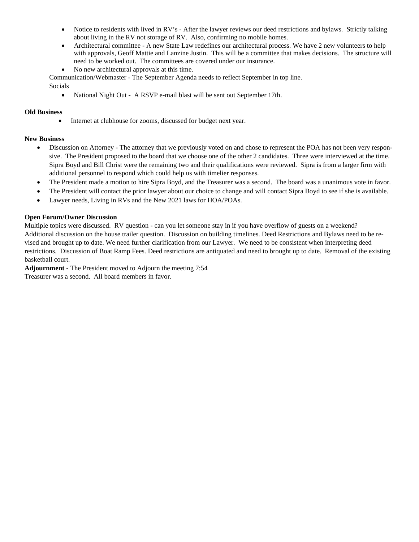- Notice to residents with lived in RV's After the lawyer reviews our deed restrictions and bylaws. Strictly talking about living in the RV not storage of RV. Also, confirming no mobile homes.
- Architectural committee A new State Law redefines our architectural process. We have 2 new volunteers to help with approvals, Geoff Mattie and Lanzine Justin. This will be a committee that makes decisions. The structure will need to be worked out. The committees are covered under our insurance.
- No new architectural approvals at this time.

Communication/Webmaster - The September Agenda needs to reflect September in top line. Socials

• National Night Out - A RSVP e-mail blast will be sent out September 17th.

#### **Old Business**

Internet at clubhouse for zooms, discussed for budget next year.

#### **New Business**

- Discussion on Attorney The attorney that we previously voted on and chose to represent the POA has not been very responsive. The President proposed to the board that we choose one of the other 2 candidates. Three were interviewed at the time. Sipra Boyd and Bill Christ were the remaining two and their qualifications were reviewed. Sipra is from a larger firm with additional personnel to respond which could help us with timelier responses.
- The President made a motion to hire Sipra Boyd, and the Treasurer was a second. The board was a unanimous vote in favor.
- The President will contact the prior lawyer about our choice to change and will contact Sipra Boyd to see if she is available.
- Lawyer needs, Living in RVs and the New 2021 laws for HOA/POAs.

#### **Open Forum/Owner Discussion**

Multiple topics were discussed.RV question - can you let someone stay in if you have overflow of guests on a weekend? Additional discussion on the house trailer question. Discussion on building timelines. Deed Restrictions and Bylaws need to be revised and brought up to date. We need further clarification from our Lawyer. We need to be consistent when interpreting deed restrictions. Discussion of Boat Ramp Fees. Deed restrictions are antiquated and need to brought up to date. Removal of the existing basketball court.

**Adjournment -** The President moved to Adjourn the meeting 7:54

Treasurer was a second. All board members in favor.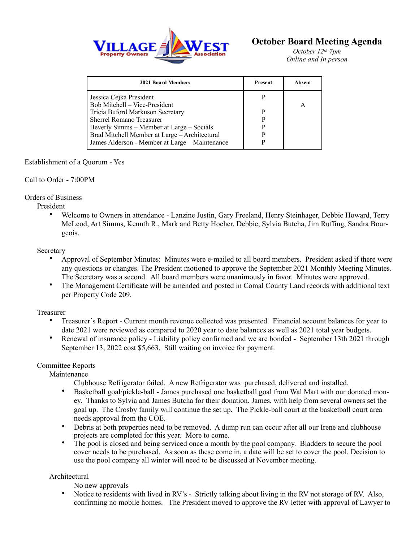

**October Board Meeting Agenda**

*October 12th 7pm Online and In person*

| <b>2021 Board Members</b>                                                                                                                                                                                                                                                       | Present          | <b>Absent</b> |
|---------------------------------------------------------------------------------------------------------------------------------------------------------------------------------------------------------------------------------------------------------------------------------|------------------|---------------|
| Jessica Cejka President<br>Bob Mitchell - Vice-President<br>Tricia Buford Markuson Secretary<br><b>Sherrel Romano Treasurer</b><br>Beverly Simms – Member at Large – Socials<br>Brad Mitchell Member at Large - Architectural<br>James Alderson - Member at Large - Maintenance | P<br>P<br>P<br>P | A             |

Establishment of a Quorum - Yes

## Call to Order - 7:00PM

## Orders of Business

President

• Welcome to Owners in attendance - Lanzine Justin, Gary Freeland, Henry Steinhager, Debbie Howard, Terry McLeod, Art Simms, Kennth R., Mark and Betty Hocher, Debbie, Sylvia Butcha, Jim Ruffing, Sandra Bourgeois.

### Secretary

- Approval of September Minutes: Minutes were e-mailed to all board members. President asked if there were any questions or changes. The President motioned to approve the September 2021 Monthly Meeting Minutes. The Secretary was a second. All board members were unanimously in favor. Minutes were approved.
- The Management Certificate will be amended and posted in Comal County Land records with additional text per Property Code 209.

## Treasurer

- Treasurer's Report Current month revenue collected was presented. Financial account balances for year to date 2021 were reviewed as compared to 2020 year to date balances as well as 2021 total year budgets.
- Renewal of insurance policy Liability policy confirmed and we are bonded September 13th 2021 through September 13, 2022 cost \$5,663. Still waiting on invoice for payment.

## Committee Reports

Maintenance

Clubhouse Refrigerator failed. A new Refrigerator was purchased, delivered and installed.

- Basketball goal/pickle-ball James purchased one basketball goal from Wal Mart with our donated money. Thanks to Sylvia and James Butcha for their donation. James, with help from several owners set the goal up. The Crosby family will continue the set up. The Pickle-ball court at the basketball court area needs approval from the COE.
- Debris at both properties need to be removed. A dump run can occur after all our Irene and clubhouse projects are completed for this year. More to come.
- The pool is closed and being serviced once a month by the pool company. Bladders to secure the pool cover needs to be purchased. As soon as these come in, a date will be set to cover the pool. Decision to use the pool company all winter will need to be discussed at November meeting.

# Architectural

No new approvals

• Notice to residents with lived in RV's - Strictly talking about living in the RV not storage of RV. Also, confirming no mobile homes. The President moved to approve the RV letter with approval of Lawyer to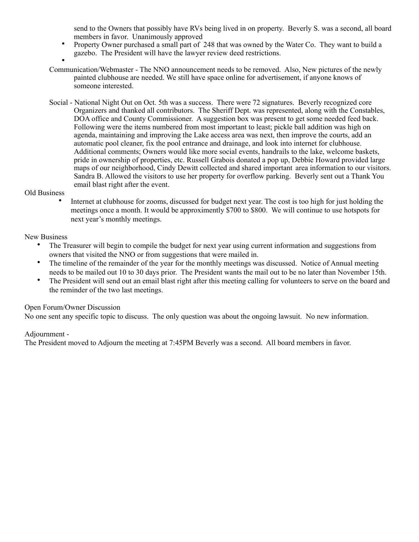send to the Owners that possibly have RVs being lived in on property. Beverly S. was a second, all board members in favor. Unanimously approved

- Property Owner purchased a small part of 248 that was owned by the Water Co. They want to build a gazebo. The President will have the lawyer review deed restrictions.
- Communication/Webmaster - The NNO announcement needs to be removed. Also, New pictures of the newly painted clubhouse are needed. We still have space online for advertisement, if anyone knows of someone interested.
- Social National Night Out on Oct. 5th was a success. There were 72 signatures. Beverly recognized core Organizers and thanked all contributors. The Sheriff Dept. was represented, along with the Constables, DOA office and County Commissioner. A suggestion box was present to get some needed feed back. Following were the items numbered from most important to least; pickle ball addition was high on agenda, maintaining and improving the Lake access area was next, then improve the courts, add an automatic pool cleaner, fix the pool entrance and drainage, and look into internet for clubhouse. Additional comments; Owners would like more social events, handrails to the lake, welcome baskets, pride in ownership of properties, etc. Russell Grabois donated a pop up, Debbie Howard provided large maps of our neighborhood, Cindy Dewitt collected and shared important area information to our visitors. Sandra B. Allowed the visitors to use her property for overflow parking. Beverly sent out a Thank You email blast right after the event.

Old Business

• Internet at clubhouse for zooms, discussed for budget next year. The cost is too high for just holding the meetings once a month. It would be approximently \$700 to \$800. We will continue to use hotspots for next year's monthly meetings.

New Business

- The Treasurer will begin to compile the budget for next year using current information and suggestions from owners that visited the NNO or from suggestions that were mailed in.
- The timeline of the remainder of the year for the monthly meetings was discussed. Notice of Annual meeting needs to be mailed out 10 to 30 days prior. The President wants the mail out to be no later than November 15th.
- The President will send out an email blast right after this meeting calling for volunteers to serve on the board and the reminder of the two last meetings.

Open Forum/Owner Discussion

No one sent any specific topic to discuss. The only question was about the ongoing lawsuit. No new information.

## Adjournment -

The President moved to Adjourn the meeting at 7:45PM Beverly was a second. All board members in favor.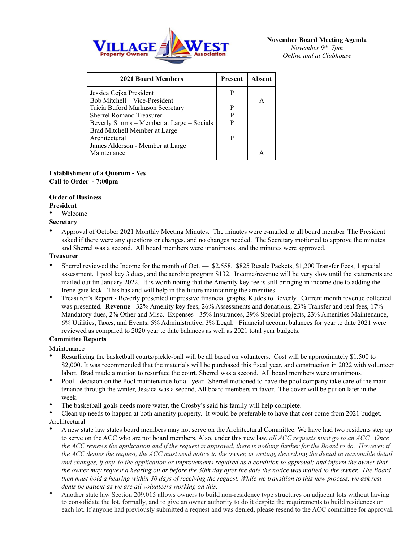

| <b>2021 Board Members</b>                 | <b>Present</b> | Absent |
|-------------------------------------------|----------------|--------|
| Jessica Cejka President                   | P              |        |
| Bob Mitchell - Vice-President             |                | A      |
| Tricia Buford Markuson Secretary          | P              |        |
| <b>Sherrel Romano Treasurer</b>           | P              |        |
| Beverly Simms – Member at Large – Socials | P              |        |
| Brad Mitchell Member at Large -           |                |        |
| Architectural                             | P              |        |
| James Alderson - Member at Large -        |                |        |
| Maintenance                               |                |        |
|                                           |                |        |

### **Establishment of a Quorum - Yes Call to Order - 7:00pm**

# **Order of Business**

# **President**

• Welcome

## **Secretary**

• Approval of October 2021 Monthly Meeting Minutes. The minutes were e-mailed to all board member. The President asked if there were any questions or changes, and no changes needed. The Secretary motioned to approve the minutes and Sherrel was a second. All board members were unanimous, and the minutes were approved.

## **Treasurer**

- Sherrel reviewed the Income for the month of Oct. \$2,558. \$825 Resale Packets, \$1,200 Transfer Fees, 1 special assessment, 1 pool key 3 dues, and the aerobic program \$132. Income/revenue will be very slow until the statements are mailed out tin January 2022. It is worth noting that the Amenity key fee is still bringing in income due to adding the Irene gate lock. This has and will help in the future maintaining the amenities.
- Treasurer's Report Beverly presented impressive financial graphs, Kudos to Beverly. Current month revenue collected was presented. **Revenue** - 32% Amenity key fees, 26% Assessments and donations, 23% Transfer and real fees, 17% Mandatory dues, 2% Other and Misc. Expenses - 35% Insurances, 29% Special projects, 23% Amenities Maintenance, 6% Utilities, Taxes, and Events, 5% Administrative, 3% Legal. Financial account balances for year to date 2021 were reviewed as compared to 2020 year to date balances as well as 2021 total year budgets.

## **Committee Reports**

Maintenance

- Resurfacing the basketball courts/pickle-ball will be all based on volunteers. Cost will be approximately \$1,500 to \$2,000. It was recommended that the materials will be purchased this fiscal year, and construction in 2022 with volunteer labor. Brad made a motion to resurface the court. Sherrel was a second. All board members were unanimous.
- Pool decision on the Pool maintenance for all year. Sherrel motioned to have the pool company take care of the maintenance through the winter, Jessica was a second, All board members in favor. The cover will be put on later in the week.
- The basketball goals needs more water, the Crosby's said his family will help complete.
- Clean up needs to happen at both amenity property. It would be preferable to have that cost come from 2021 budget. Architectural
- A new state law states board members may not serve on the Architectural Committee. We have had two residents step up to serve on the ACC who are not board members. Also, under this new law, *all ACC requests must go to an ACC. Once the ACC reviews the application and if the request is approved, there is nothing further for the Board to do. However, if the ACC denies the request, the ACC must send notice to the owner, in writing, describing the denial in reasonable detail and changes, if any, to the application or improvements required as a condition to approval; and inform the owner that the owner may request a hearing on or before the 30th day after the date the notice was mailed to the owner. The Board then must hold a hearing within 30 days of receiving the request. While we transition to this new process, we ask residents be patient as we are all volunteers working on this.*
- Another state law Section 209.015 allows owners to build non-residence type structures on adjacent lots without having to consolidate the lot, formally, and to give an owner authority to do it despite the requirements to build residences on each lot. If anyone had previously submitted a request and was denied, please resend to the ACC committee for approval.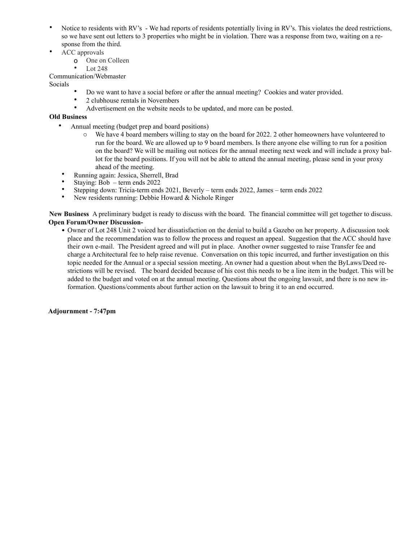- Notice to residents with RV's We had reports of residents potentially living in RV's. This violates the deed restrictions, so we have sent out letters to 3 properties who might be in violation. There was a response from two, waiting on a response from the third.
- ACC approvals
	- o One on Colleen

Lot 248

# Communication/Webmaster

Socials

- Do we want to have a social before or after the annual meeting? Cookies and water provided.
- 2 clubhouse rentals in Novembers<br>• Advertisement on the vehsite need
- Advertisement on the website needs to be updated, and more can be posted.

### **Old Business**

- Annual meeting (budget prep and board positions)
	- o We have 4 board members willing to stay on the board for 2022. 2 other homeowners have volunteered to run for the board. We are allowed up to 9 board members. Is there anyone else willing to run for a position on the board? We will be mailing out notices for the annual meeting next week and will include a proxy ballot for the board positions. If you will not be able to attend the annual meeting, please send in your proxy ahead of the meeting.
- Running again: Jessica, Sherrell, Brad
- Staying: Bob term ends 2022
- Stepping down: Tricia-term ends 2021, Beverly term ends 2022, James term ends 2022
- New residents running: Debbie Howard & Nichole Ringer

**New Business** A preliminary budget is ready to discuss with the board. The financial committee will get together to discuss.  **Open Forum/Owner Discussion-** 

• Owner of Lot 248 Unit 2 voiced her dissatisfaction on the denial to build a Gazebo on her property. A discussion took place and the recommendation was to follow the process and request an appeal. Suggestion that the ACC should have their own e-mail. The President agreed and will put in place. Another owner suggested to raise Transfer fee and charge a Architectural fee to help raise revenue. Conversation on this topic incurred, and further investigation on this topic needed for the Annual or a special session meeting. An owner had a question about when the ByLaws/Deed restrictions will be revised. The board decided because of his cost this needs to be a line item in the budget. This will be added to the budget and voted on at the annual meeting. Questions about the ongoing lawsuit, and there is no new information. Questions/comments about further action on the lawsuit to bring it to an end occurred.

#### **Adjournment - 7:47pm**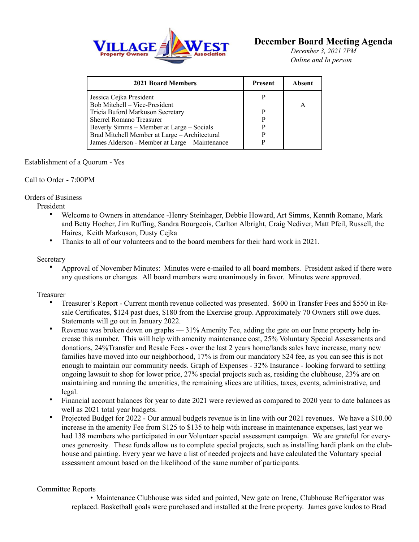

# **December Board Meeting Agenda**

December 3, 2021 7PM *Online and In person*

| <b>2021 Board Members</b>                      | <b>Present</b> | Absent |
|------------------------------------------------|----------------|--------|
| Jessica Cejka President                        | P              |        |
| Bob Mitchell - Vice-President                  |                |        |
| Tricia Buford Markuson Secretary               | P              |        |
| <b>Sherrel Romano Treasurer</b>                | P              |        |
| Beverly Simms – Member at Large – Socials      | P              |        |
| Brad Mitchell Member at Large - Architectural  | P              |        |
| James Alderson - Member at Large - Maintenance | р              |        |

## Establishment of a Quorum - Yes

### Call to Order - 7:00PM

## Orders of Business

President

- Welcome to Owners in attendance -Henry Steinhager, Debbie Howard, Art Simms, Kennth Romano, Mark and Betty Hocher, Jim Ruffing, Sandra Bourgeois, Carlton Albright, Craig Nediver, Matt Pfeil, Russell, the Haires, Keith Markuson, Dusty Cejka
- Thanks to all of our volunteers and to the board members for their hard work in 2021.

### Secretary

• Approval of November Minutes: Minutes were e-mailed to all board members. President asked if there were any questions or changes. All board members were unanimously in favor. Minutes were approved.

## Treasurer

- Treasurer's Report Current month revenue collected was presented. \$600 in Transfer Fees and \$550 in Resale Certificates, \$124 past dues, \$180 from the Exercise group. Approximately 70 Owners still owe dues. Statements will go out in January 2022.
- Revenue was broken down on graphs 31% Amenity Fee, adding the gate on our Irene property help increase this number. This will help with amenity maintenance cost, 25% Voluntary Special Assessments and donations, 24%Transfer and Resale Fees - over the last 2 years home/lands sales have increase, many new families have moved into our neighborhood, 17% is from our mandatory \$24 fee, as you can see this is not enough to maintain our community needs. Graph of Expenses - 32% Insurance - looking forward to settling ongoing lawsuit to shop for lower price, 27% special projects such as, residing the clubhouse, 23% are on maintaining and running the amenities, the remaining slices are utilities, taxes, events, administrative, and legal.
- Financial account balances for year to date 2021 were reviewed as compared to 2020 year to date balances as well as 2021 total year budgets.
- Projected Budget for 2022 Our annual budgets revenue is in line with our 2021 revenues. We have a \$10.00 increase in the amenity Fee from \$125 to \$135 to help with increase in maintenance expenses, last year we had 138 members who participated in our Volunteer special assessment campaign. We are grateful for everyones generosity. These funds allow us to complete special projects, such as installing hardi plank on the clubhouse and painting. Every year we have a list of needed projects and have calculated the Voluntary special assessment amount based on the likelihood of the same number of participants.

## Committee Reports

• Maintenance Clubhouse was sided and painted, New gate on Irene, Clubhouse Refrigerator was replaced. Basketball goals were purchased and installed at the Irene property. James gave kudos to Brad